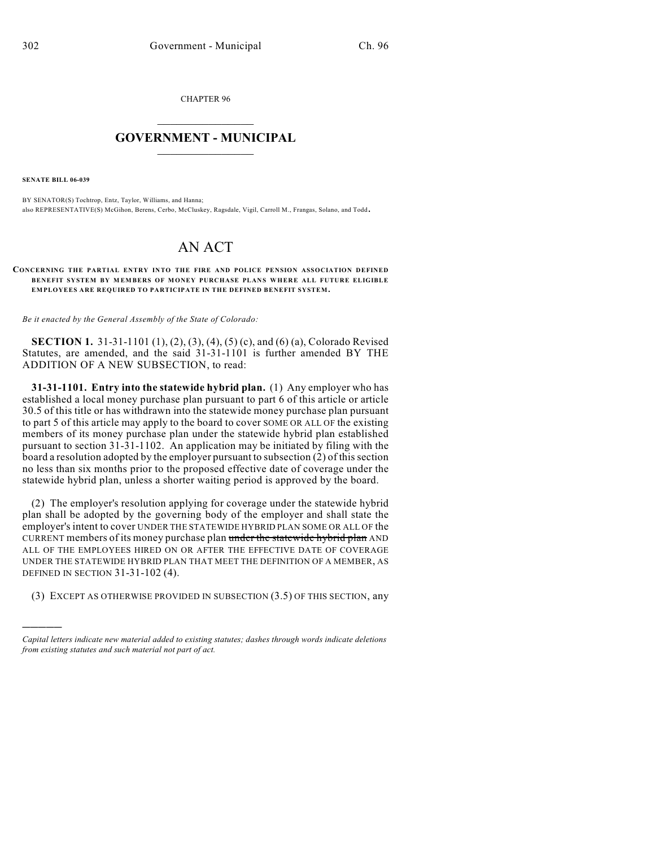CHAPTER 96

## $\mathcal{L}_\text{max}$  . The set of the set of the set of the set of the set of the set of the set of the set of the set of the set of the set of the set of the set of the set of the set of the set of the set of the set of the set **GOVERNMENT - MUNICIPAL**  $\_$

**SENATE BILL 06-039**

)))))

BY SENATOR(S) Tochtrop, Entz, Taylor, Williams, and Hanna; also REPRESENTATIVE(S) McGihon, Berens, Cerbo, McCluskey, Ragsdale, Vigil, Carroll M., Frangas, Solano, and Todd.

## AN ACT

## **CONCERNING THE PARTIAL ENTRY INTO THE FIRE AND POLICE PENSION ASSOCIATION DEFINED** BENEFIT SYSTEM BY MEMBERS OF MONEY PURCHASE PLANS WHERE ALL FUTURE ELIGIBLE **EMPLOYEES ARE REQUIRED TO PARTICIPATE IN THE DEFINED BENEFIT SYSTEM.**

*Be it enacted by the General Assembly of the State of Colorado:*

**SECTION 1.** 31-31-1101 (1), (2), (3), (4), (5) (c), and (6) (a), Colorado Revised Statutes, are amended, and the said 31-31-1101 is further amended BY THE ADDITION OF A NEW SUBSECTION, to read:

**31-31-1101. Entry into the statewide hybrid plan.** (1) Any employer who has established a local money purchase plan pursuant to part 6 of this article or article 30.5 of this title or has withdrawn into the statewide money purchase plan pursuant to part 5 of this article may apply to the board to cover SOME OR ALL OF the existing members of its money purchase plan under the statewide hybrid plan established pursuant to section 31-31-1102. An application may be initiated by filing with the board a resolution adopted by the employer pursuant to subsection (2) of this section no less than six months prior to the proposed effective date of coverage under the statewide hybrid plan, unless a shorter waiting period is approved by the board.

(2) The employer's resolution applying for coverage under the statewide hybrid plan shall be adopted by the governing body of the employer and shall state the employer's intent to cover UNDER THE STATEWIDE HYBRID PLAN SOME OR ALL OF the CURRENT members of its money purchase plan under the statewide hybrid plan AND ALL OF THE EMPLOYEES HIRED ON OR AFTER THE EFFECTIVE DATE OF COVERAGE UNDER THE STATEWIDE HYBRID PLAN THAT MEET THE DEFINITION OF A MEMBER, AS DEFINED IN SECTION 31-31-102 (4).

(3) EXCEPT AS OTHERWISE PROVIDED IN SUBSECTION (3.5) OF THIS SECTION, any

*Capital letters indicate new material added to existing statutes; dashes through words indicate deletions from existing statutes and such material not part of act.*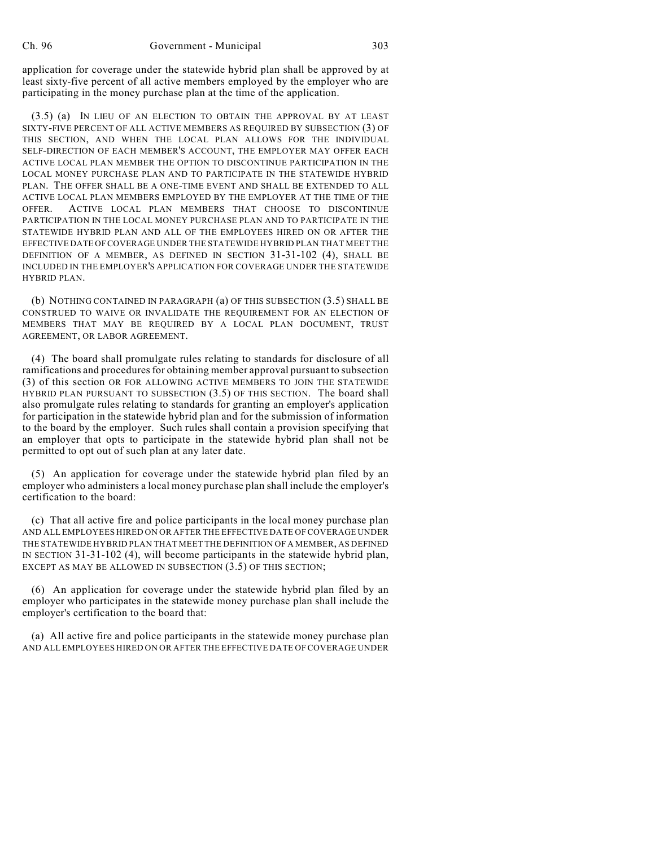application for coverage under the statewide hybrid plan shall be approved by at least sixty-five percent of all active members employed by the employer who are participating in the money purchase plan at the time of the application.

(3.5) (a) IN LIEU OF AN ELECTION TO OBTAIN THE APPROVAL BY AT LEAST SIXTY-FIVE PERCENT OF ALL ACTIVE MEMBERS AS REQUIRED BY SUBSECTION (3) OF THIS SECTION, AND WHEN THE LOCAL PLAN ALLOWS FOR THE INDIVIDUAL SELF-DIRECTION OF EACH MEMBER'S ACCOUNT, THE EMPLOYER MAY OFFER EACH ACTIVE LOCAL PLAN MEMBER THE OPTION TO DISCONTINUE PARTICIPATION IN THE LOCAL MONEY PURCHASE PLAN AND TO PARTICIPATE IN THE STATEWIDE HYBRID PLAN. THE OFFER SHALL BE A ONE-TIME EVENT AND SHALL BE EXTENDED TO ALL ACTIVE LOCAL PLAN MEMBERS EMPLOYED BY THE EMPLOYER AT THE TIME OF THE OFFER. ACTIVE LOCAL PLAN MEMBERS THAT CHOOSE TO DISCONTINUE PARTICIPATION IN THE LOCAL MONEY PURCHASE PLAN AND TO PARTICIPATE IN THE STATEWIDE HYBRID PLAN AND ALL OF THE EMPLOYEES HIRED ON OR AFTER THE EFFECTIVE DATE OF COVERAGE UNDER THE STATEWIDE HYBRID PLAN THAT MEET THE DEFINITION OF A MEMBER, AS DEFINED IN SECTION 31-31-102 (4), SHALL BE INCLUDED IN THE EMPLOYER'S APPLICATION FOR COVERAGE UNDER THE STATEWIDE HYBRID PLAN.

(b) NOTHING CONTAINED IN PARAGRAPH (a) OF THIS SUBSECTION (3.5) SHALL BE CONSTRUED TO WAIVE OR INVALIDATE THE REQUIREMENT FOR AN ELECTION OF MEMBERS THAT MAY BE REQUIRED BY A LOCAL PLAN DOCUMENT, TRUST AGREEMENT, OR LABOR AGREEMENT.

(4) The board shall promulgate rules relating to standards for disclosure of all ramifications and procedures for obtaining member approval pursuant to subsection (3) of this section OR FOR ALLOWING ACTIVE MEMBERS TO JOIN THE STATEWIDE HYBRID PLAN PURSUANT TO SUBSECTION (3.5) OF THIS SECTION. The board shall also promulgate rules relating to standards for granting an employer's application for participation in the statewide hybrid plan and for the submission of information to the board by the employer. Such rules shall contain a provision specifying that an employer that opts to participate in the statewide hybrid plan shall not be permitted to opt out of such plan at any later date.

(5) An application for coverage under the statewide hybrid plan filed by an employer who administers a local money purchase plan shall include the employer's certification to the board:

(c) That all active fire and police participants in the local money purchase plan AND ALL EMPLOYEES HIRED ON OR AFTER THE EFFECTIVE DATE OF COVERAGE UNDER THE STATEWIDE HYBRID PLAN THAT MEET THE DEFINITION OF A MEMBER, AS DEFINED IN SECTION 31-31-102 (4), will become participants in the statewide hybrid plan, EXCEPT AS MAY BE ALLOWED IN SUBSECTION (3.5) OF THIS SECTION;

(6) An application for coverage under the statewide hybrid plan filed by an employer who participates in the statewide money purchase plan shall include the employer's certification to the board that:

(a) All active fire and police participants in the statewide money purchase plan AND ALL EMPLOYEES HIRED ON OR AFTER THE EFFECTIVE DATE OF COVERAGE UNDER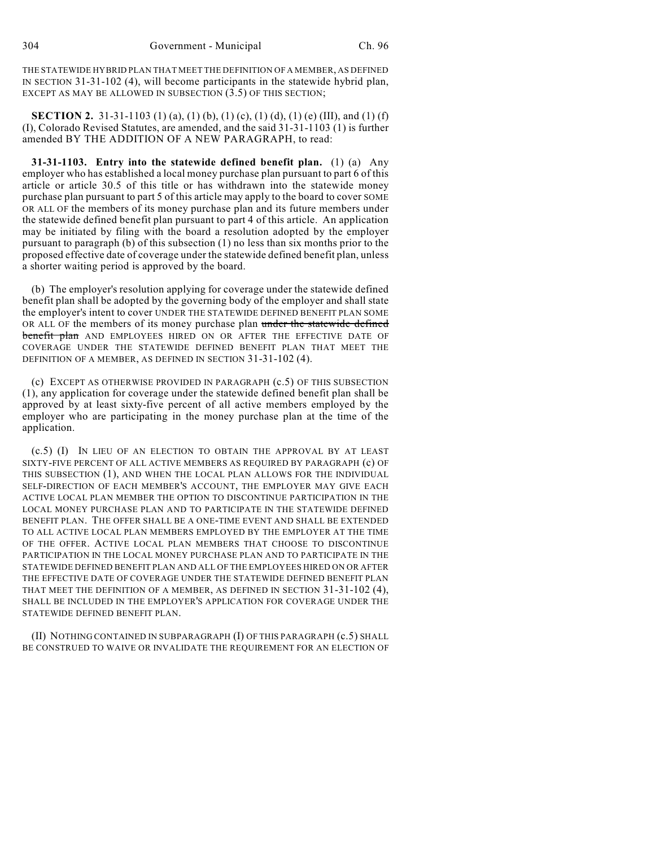THE STATEWIDE HYBRID PLAN THAT MEET THE DEFINITION OF A MEMBER, AS DEFINED IN SECTION 31-31-102 (4), will become participants in the statewide hybrid plan, EXCEPT AS MAY BE ALLOWED IN SUBSECTION (3.5) OF THIS SECTION;

**SECTION 2.** 31-31-1103 (1) (a), (1) (b), (1) (c), (1) (d), (1) (e) (III), and (1) (f) (I), Colorado Revised Statutes, are amended, and the said 31-31-1103 (1) is further amended BY THE ADDITION OF A NEW PARAGRAPH, to read:

**31-31-1103. Entry into the statewide defined benefit plan.** (1) (a) Any employer who has established a local money purchase plan pursuant to part 6 of this article or article 30.5 of this title or has withdrawn into the statewide money purchase plan pursuant to part 5 of this article may apply to the board to cover SOME OR ALL OF the members of its money purchase plan and its future members under the statewide defined benefit plan pursuant to part 4 of this article. An application may be initiated by filing with the board a resolution adopted by the employer pursuant to paragraph (b) of this subsection (1) no less than six months prior to the proposed effective date of coverage under the statewide defined benefit plan, unless a shorter waiting period is approved by the board.

(b) The employer's resolution applying for coverage under the statewide defined benefit plan shall be adopted by the governing body of the employer and shall state the employer's intent to cover UNDER THE STATEWIDE DEFINED BENEFIT PLAN SOME OR ALL OF the members of its money purchase plan under the statewide defined benefit plan AND EMPLOYEES HIRED ON OR AFTER THE EFFECTIVE DATE OF COVERAGE UNDER THE STATEWIDE DEFINED BENEFIT PLAN THAT MEET THE DEFINITION OF A MEMBER, AS DEFINED IN SECTION 31-31-102 (4).

(c) EXCEPT AS OTHERWISE PROVIDED IN PARAGRAPH (c.5) OF THIS SUBSECTION (1), any application for coverage under the statewide defined benefit plan shall be approved by at least sixty-five percent of all active members employed by the employer who are participating in the money purchase plan at the time of the application.

(c.5) (I) IN LIEU OF AN ELECTION TO OBTAIN THE APPROVAL BY AT LEAST SIXTY-FIVE PERCENT OF ALL ACTIVE MEMBERS AS REQUIRED BY PARAGRAPH (c) OF THIS SUBSECTION (1), AND WHEN THE LOCAL PLAN ALLOWS FOR THE INDIVIDUAL SELF-DIRECTION OF EACH MEMBER'S ACCOUNT, THE EMPLOYER MAY GIVE EACH ACTIVE LOCAL PLAN MEMBER THE OPTION TO DISCONTINUE PARTICIPATION IN THE LOCAL MONEY PURCHASE PLAN AND TO PARTICIPATE IN THE STATEWIDE DEFINED BENEFIT PLAN. THE OFFER SHALL BE A ONE-TIME EVENT AND SHALL BE EXTENDED TO ALL ACTIVE LOCAL PLAN MEMBERS EMPLOYED BY THE EMPLOYER AT THE TIME OF THE OFFER. ACTIVE LOCAL PLAN MEMBERS THAT CHOOSE TO DISCONTINUE PARTICIPATION IN THE LOCAL MONEY PURCHASE PLAN AND TO PARTICIPATE IN THE STATEWIDE DEFINED BENEFIT PLAN AND ALL OF THE EMPLOYEES HIRED ON OR AFTER THE EFFECTIVE DATE OF COVERAGE UNDER THE STATEWIDE DEFINED BENEFIT PLAN THAT MEET THE DEFINITION OF A MEMBER, AS DEFINED IN SECTION 31-31-102 (4), SHALL BE INCLUDED IN THE EMPLOYER'S APPLICATION FOR COVERAGE UNDER THE STATEWIDE DEFINED BENEFIT PLAN.

(II) NOTHING CONTAINED IN SUBPARAGRAPH (I) OF THIS PARAGRAPH (c.5) SHALL BE CONSTRUED TO WAIVE OR INVALIDATE THE REQUIREMENT FOR AN ELECTION OF